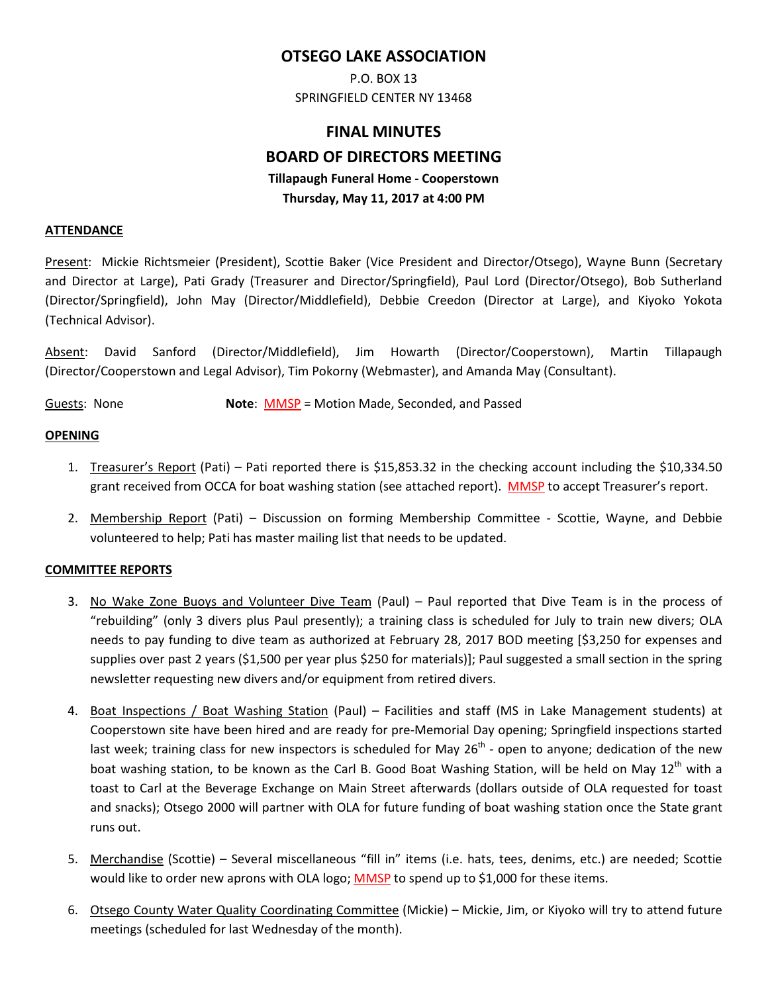## **OTSEGO LAKE ASSOCIATION**

P.O. BOX 13 SPRINGFIELD CENTER NY 13468

# **FINAL MINUTES BOARD OF DIRECTORS MEETING Tillapaugh Funeral Home - Cooperstown Thursday, May 11, 2017 at 4:00 PM**

#### **ATTENDANCE**

Present: Mickie Richtsmeier (President), Scottie Baker (Vice President and Director/Otsego), Wayne Bunn (Secretary and Director at Large), Pati Grady (Treasurer and Director/Springfield), Paul Lord (Director/Otsego), Bob Sutherland (Director/Springfield), John May (Director/Middlefield), Debbie Creedon (Director at Large), and Kiyoko Yokota (Technical Advisor).

Absent: David Sanford (Director/Middlefield), Jim Howarth (Director/Cooperstown), Martin Tillapaugh (Director/Cooperstown and Legal Advisor), Tim Pokorny (Webmaster), and Amanda May (Consultant).

Guests: None **Note**: MMSP = Motion Made, Seconded, and Passed

#### **OPENING**

- 1. Treasurer's Report (Pati) Pati reported there is \$15,853.32 in the checking account including the \$10,334.50 grant received from OCCA for boat washing station (see attached report). MMSP to accept Treasurer's report.
- 2. Membership Report (Pati) Discussion on forming Membership Committee Scottie, Wayne, and Debbie volunteered to help; Pati has master mailing list that needs to be updated.

#### **COMMITTEE REPORTS**

- 3. No Wake Zone Buoys and Volunteer Dive Team (Paul) Paul reported that Dive Team is in the process of "rebuilding" (only 3 divers plus Paul presently); a training class is scheduled for July to train new divers; OLA needs to pay funding to dive team as authorized at February 28, 2017 BOD meeting [\$3,250 for expenses and supplies over past 2 years (\$1,500 per year plus \$250 for materials)]; Paul suggested a small section in the spring newsletter requesting new divers and/or equipment from retired divers.
- 4. Boat Inspections / Boat Washing Station (Paul) Facilities and staff (MS in Lake Management students) at Cooperstown site have been hired and are ready for pre-Memorial Day opening; Springfield inspections started last week; training class for new inspectors is scheduled for May  $26<sup>th</sup>$  - open to anyone; dedication of the new boat washing station, to be known as the Carl B. Good Boat Washing Station, will be held on May 12<sup>th</sup> with a toast to Carl at the Beverage Exchange on Main Street afterwards (dollars outside of OLA requested for toast and snacks); Otsego 2000 will partner with OLA for future funding of boat washing station once the State grant runs out.
- 5. Merchandise (Scottie) Several miscellaneous "fill in" items (i.e. hats, tees, denims, etc.) are needed; Scottie would like to order new aprons with OLA logo; MMSP to spend up to \$1,000 for these items.
- 6. Otsego County Water Quality Coordinating Committee (Mickie) Mickie, Jim, or Kiyoko will try to attend future meetings (scheduled for last Wednesday of the month).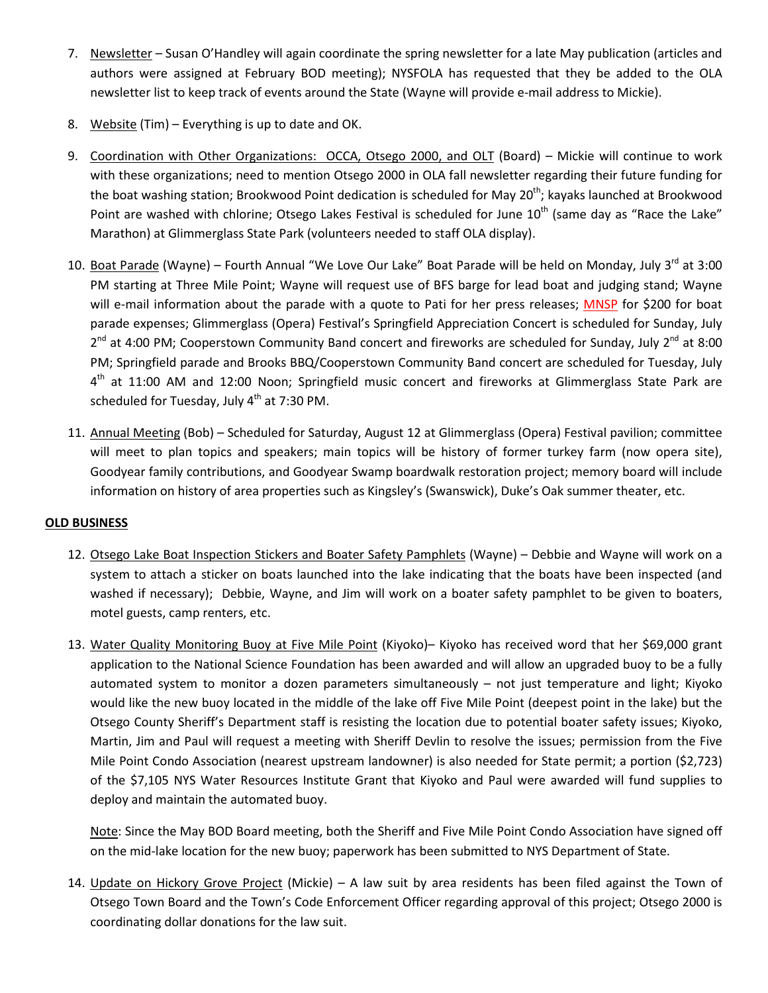- 7. Newsletter Susan O'Handley will again coordinate the spring newsletter for a late May publication (articles and authors were assigned at February BOD meeting); NYSFOLA has requested that they be added to the OLA newsletter list to keep track of events around the State (Wayne will provide e-mail address to Mickie).
- 8. Website (Tim) Everything is up to date and OK.
- 9. Coordination with Other Organizations: OCCA, Otsego 2000, and OLT (Board) Mickie will continue to work with these organizations; need to mention Otsego 2000 in OLA fall newsletter regarding their future funding for the boat washing station; Brookwood Point dedication is scheduled for May 20<sup>th</sup>; kayaks launched at Brookwood Point are washed with chlorine; Otsego Lakes Festival is scheduled for June 10<sup>th</sup> (same day as "Race the Lake" Marathon) at Glimmerglass State Park (volunteers needed to staff OLA display).
- 10. Boat Parade (Wayne) Fourth Annual "We Love Our Lake" Boat Parade will be held on Monday, July 3<sup>rd</sup> at 3:00 PM starting at Three Mile Point; Wayne will request use of BFS barge for lead boat and judging stand; Wayne will e-mail information about the parade with a quote to Pati for her press releases; MNSP for \$200 for boat parade expenses; Glimmerglass (Opera) Festival's Springfield Appreciation Concert is scheduled for Sunday, July  $2^{nd}$  at 4:00 PM; Cooperstown Community Band concert and fireworks are scheduled for Sunday, July  $2^{nd}$  at 8:00 PM; Springfield parade and Brooks BBQ/Cooperstown Community Band concert are scheduled for Tuesday, July  $4<sup>th</sup>$  at 11:00 AM and 12:00 Noon; Springfield music concert and fireworks at Glimmerglass State Park are scheduled for Tuesday, July  $4<sup>th</sup>$  at 7:30 PM.
- 11. Annual Meeting (Bob) Scheduled for Saturday, August 12 at Glimmerglass (Opera) Festival pavilion; committee will meet to plan topics and speakers; main topics will be history of former turkey farm (now opera site), Goodyear family contributions, and Goodyear Swamp boardwalk restoration project; memory board will include information on history of area properties such as Kingsley's (Swanswick), Duke's Oak summer theater, etc.

### **OLD BUSINESS**

- 12. Otsego Lake Boat Inspection Stickers and Boater Safety Pamphlets (Wayne) Debbie and Wayne will work on a system to attach a sticker on boats launched into the lake indicating that the boats have been inspected (and washed if necessary); Debbie, Wayne, and Jim will work on a boater safety pamphlet to be given to boaters, motel guests, camp renters, etc.
- 13. Water Quality Monitoring Buoy at Five Mile Point (Kiyoko)– Kiyoko has received word that her \$69,000 grant application to the National Science Foundation has been awarded and will allow an upgraded buoy to be a fully automated system to monitor a dozen parameters simultaneously – not just temperature and light; Kiyoko would like the new buoy located in the middle of the lake off Five Mile Point (deepest point in the lake) but the Otsego County Sheriff's Department staff is resisting the location due to potential boater safety issues; Kiyoko, Martin, Jim and Paul will request a meeting with Sheriff Devlin to resolve the issues; permission from the Five Mile Point Condo Association (nearest upstream landowner) is also needed for State permit; a portion (\$2,723) of the \$7,105 NYS Water Resources Institute Grant that Kiyoko and Paul were awarded will fund supplies to deploy and maintain the automated buoy.

Note: Since the May BOD Board meeting, both the Sheriff and Five Mile Point Condo Association have signed off on the mid-lake location for the new buoy; paperwork has been submitted to NYS Department of State.

14. Update on Hickory Grove Project (Mickie) – A law suit by area residents has been filed against the Town of Otsego Town Board and the Town's Code Enforcement Officer regarding approval of this project; Otsego 2000 is coordinating dollar donations for the law suit.